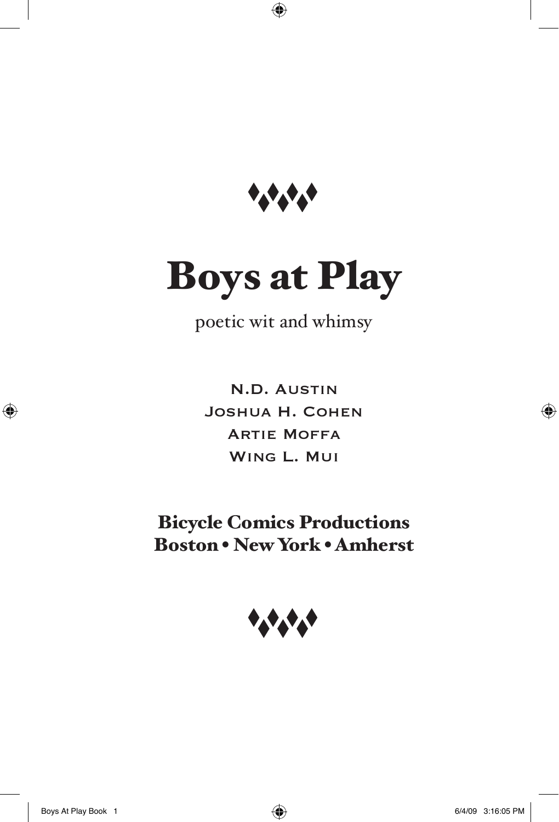

 $\bigoplus$ 

# Boys at Play

(poetic wit and whimsy)

N.D. Austin Joshua H. Cohen Artie Moffa Wing L. Mui

Bicycle Comics Productions Boston • New York • Amherst



⊕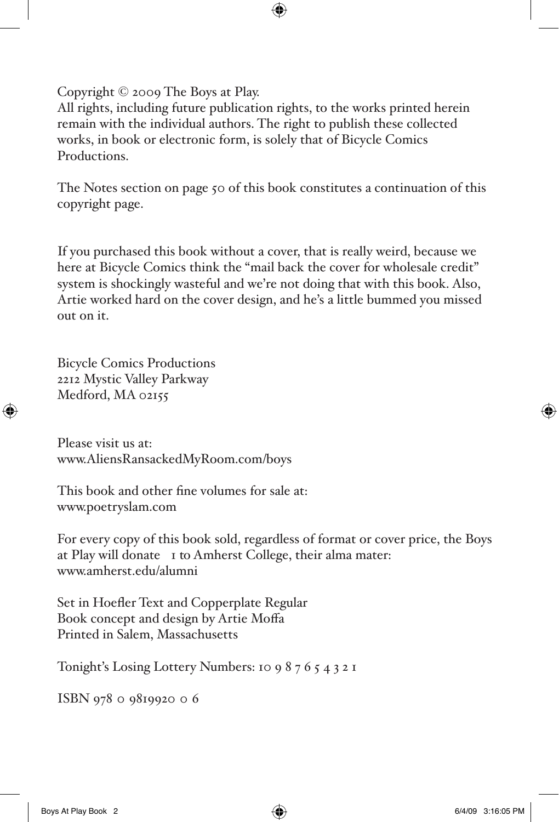Copyright © 2009 The Boys at Play.

All rights, including future publication rights, to the works printed herein remain with the individual authors. The right to publish these collected works, in book or electronic form, is solely that of Bicycle Comics Productions.

⊕

The Notes section on page 50 of this book constitutes a continuation of this copyright page.

If you purchased this book without a cover, that is really weird, because we here at Bicycle Comics think the "mail back the cover for wholesale credit" system is shockingly wasteful and we're not doing that with this book. Also, Artie worked hard on the cover design, and he's a little bummed you missed out on it.

Bicycle Comics Productions 2212 Mystic Valley Parkway Medford, MA 02155

⊕

Please visit us at: www.AliensRansackedMyRoom.com/boys

This book and other fine volumes for sale at: www.poetryslam.com

For every copy of this book sold, regardless of format or cover price, the Boys at Play will donate \$1 to Amherst College, their alma mater: www.amherst.edu/alumni

Set in Hoefler Text and Copperplate Regular Book concept and design by Artie Moffa Printed in Salem, Massachusetts

Tonight's Losing Lottery Numbers: 10 9 8 7 6 5 4 3 2 1

ISBN 978-0-9819920-0-6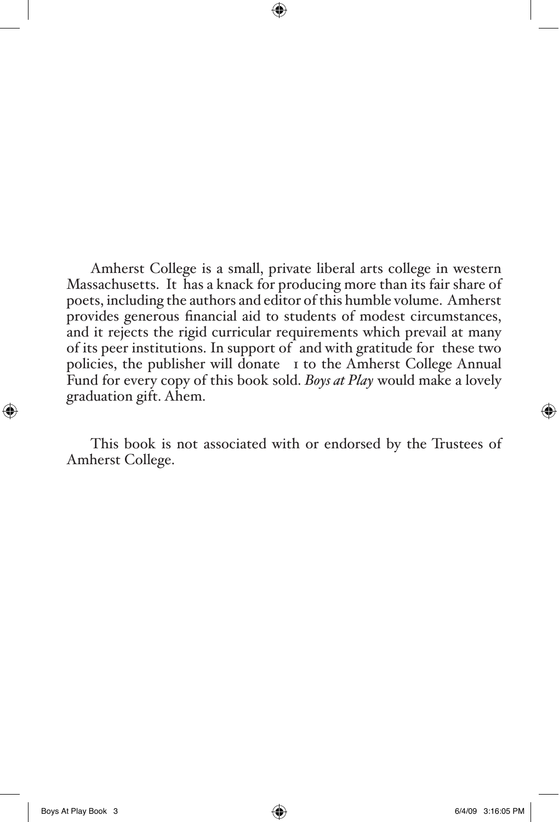Amherst College is a small, private liberal arts college in western Massachusetts. It has a knack for producing more than its fair share of poets, including the authors and editor of this humble volume. Amherst provides generous financial aid to students of modest circumstances, and it rejects the rigid curricular requirements which prevail at many of its peer institutions. In support of (and with gratitude for) these two policies, the publisher will donate \$1 to the Amherst College Annual Fund for every copy of this book sold. *Boys at Play* would make a lovely graduation gift. Ahem.

⊕

This book is not associated with or endorsed by the Trustees of Amherst College.

⊕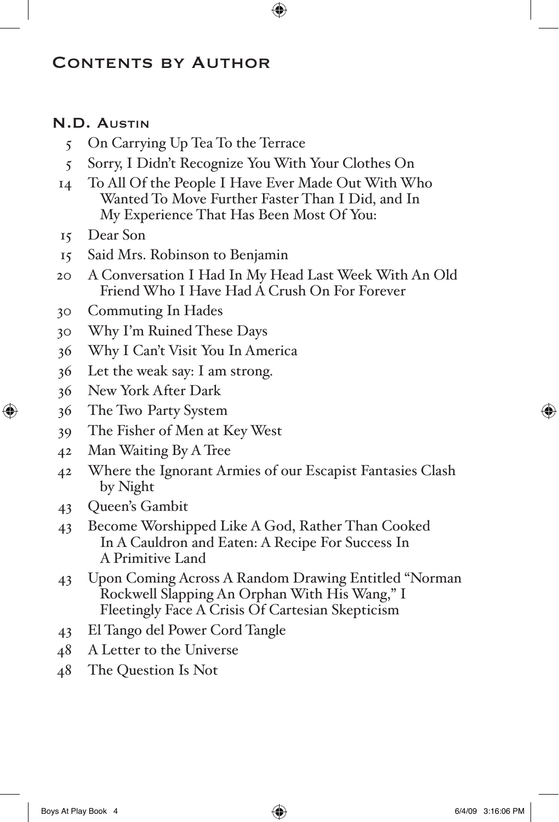## Contents by Author

## N.D. Austin

- 5 On Carrying Up Tea To the Terrace
- 5 Sorry, I Didn't Recognize You With Your Clothes On

 $\bigoplus$ 

- 14 To All Of the People I Have Ever Made Out With Who Wanted To Move Further Faster Than I Did, and In My Experience That Has Been Most Of You:
- 15 Dear Son

⊕

- 15 Said Mrs. Robinson to Benjamin
- 20 A Conversation I Had In My Head Last Week With An Old Friend Who I Have Had A Crush On For Forever
- 30 Commuting In Hades
- 30 Why I'm Ruined These Days
- 36 Why I Can't Visit You In America
- 36 Let the weak say: I am strong.
- 36 New York After Dark
- 36 The Two-Party System
- 39 The Fisher of Men at Key West
- 42 Man Waiting By A Tree
- 42 Where the Ignorant Armies of our Escapist Fantasies Clash by Night
- 43 Queen's Gambit
- 43 Become Worshipped Like A God, Rather Than Cooked In A Cauldron and Eaten: A Recipe For Success In A Primitive Land
- 43 Upon Coming Across A Random Drawing Entitled "Norman Rockwell Slapping An Orphan With His Wang," I Fleetingly Face A Crisis Of Cartesian Skepticism
- 43 El Tango del Power Cord Tangle
- 48 A Letter to the Universe
- 48 The Question Is Not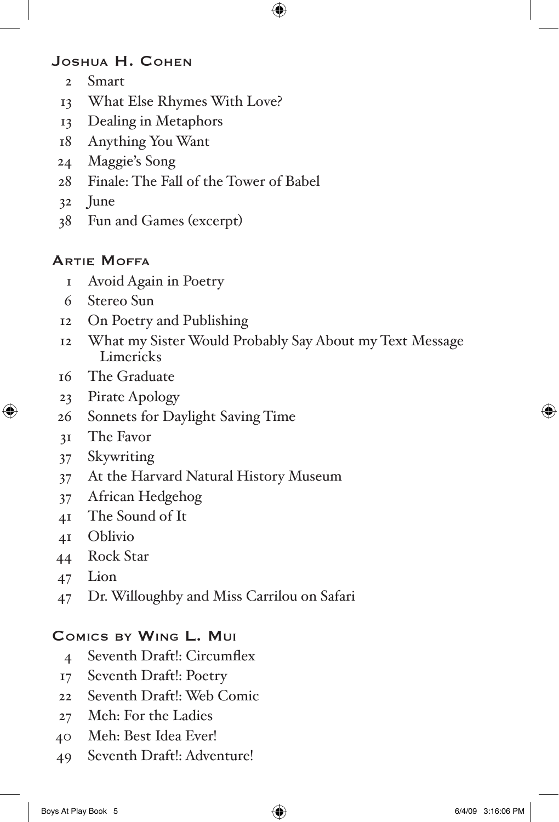## Joshua H. Cohen

- Smart
- What Else Rhymes With Love?
- Dealing in Metaphors
- Anything You Want
- Maggie's Song
- Finale: The Fall of the Tower of Babel
- June
- Fun and Games (excerpt)

## Artie Moffa

- Avoid Again in Poetry
- Stereo Sun
- On Poetry and Publishing
- What my Sister Would Probably Say About my Text Message Limericks

 $\bigoplus$ 

- The Graduate
- Pirate Apology
- Sonnets for Daylight-Saving Time
- The Favor

⊕

- Skywriting
- At the Harvard Natural History Museum
- African Hedgehog
- The Sound of It
- Oblivio
- Rock Star
- Lion
- Dr. Willoughby and Miss Carrilou on Safari

## Comics by Wing L. Mui

- Seventh Draft!: Circumflex
- Seventh Draft!: Poetry
- Seventh Draft!: Web Comic
- Meh: For the Ladies
- Meh: Best Idea Ever!
- Seventh Draft!: Adventure!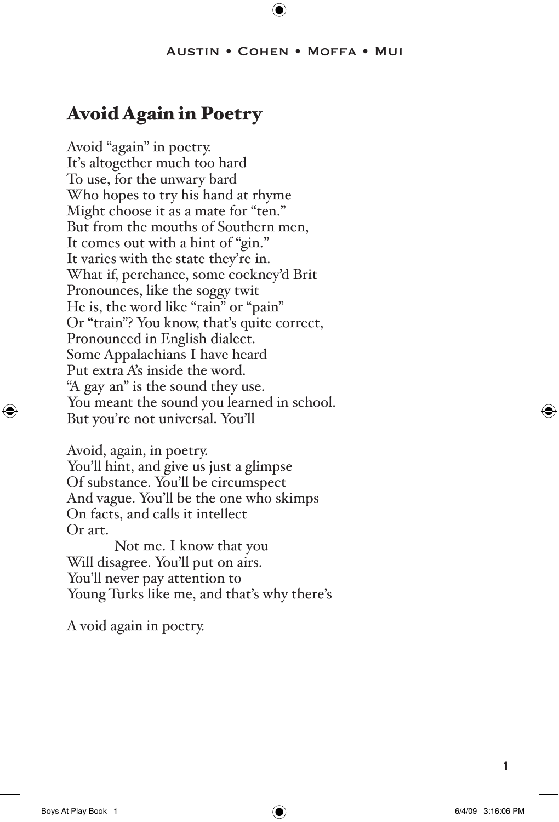#### Austin • Cohen • Moffa • Mui

⊕

# Avoid Again in Poetry

Avoid "again" in poetry. It's altogether much too hard To use, for the unwary bard Who hopes to try his hand at rhyme Might choose it as a mate for "ten." But from the mouths of Southern men, It comes out with a hint of "gin." It varies with the state they're in. What if, perchance, some cockney'd Brit Pronounces, like the soggy twit He is, the word like "rain" or "pain" Or "train"? You know, that's quite correct, Pronounced in English dialect. Some Appalachians I have heard Put extra A's inside the word. "A-gay-an" is the sound they use. You meant the sound you learned in school. But you're not universal. You'll

Avoid, again, in poetry. You'll hint, and give us just a glimpse Of substance. You'll be circumspect And vague. You'll be the one who skimps On facts, and calls it intellect Or art.

Not me. I know that you Will disagree. You'll put on airs. You'll never pay attention to Young Turks like me, and that's why there's

A void again in poetry.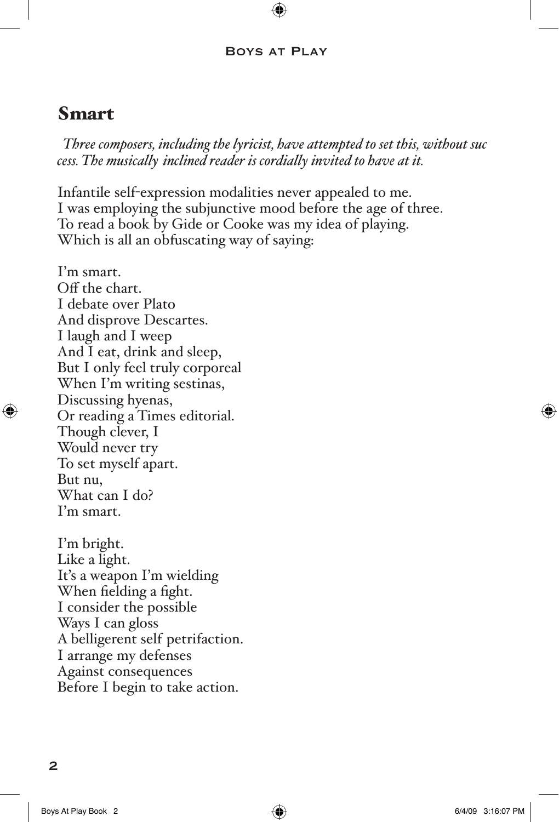#### Boys at Play

⊕

## Smart

*(Three composers, including the lyricist, have attempted to set this, without success. The musically-inclined reader is cordially invited to have at it.)*

Infantile self-expression modalities never appealed to me. I was employing the subjunctive mood before the age of three. To read a book by Gide or Cooke was my idea of playing. Which is all an obfuscating way of saying:

I'm smart. Off the chart. I debate over Plato And disprove Descartes. I laugh and I weep And I eat, drink and sleep, But I only feel truly corporeal When I'm writing sestinas, Discussing hyenas, Or reading a Times editorial. Though clever, I Would never try To set myself apart. But nu, What can I do? I'm smart.

I'm bright. Like a light. It's a weapon I'm wielding When fielding a fight. I consider the possible Ways I can gloss A belligerent self-petrifaction. I arrange my defenses Against consequences Before I begin to take action.

 $\overline{2}$ 

⊕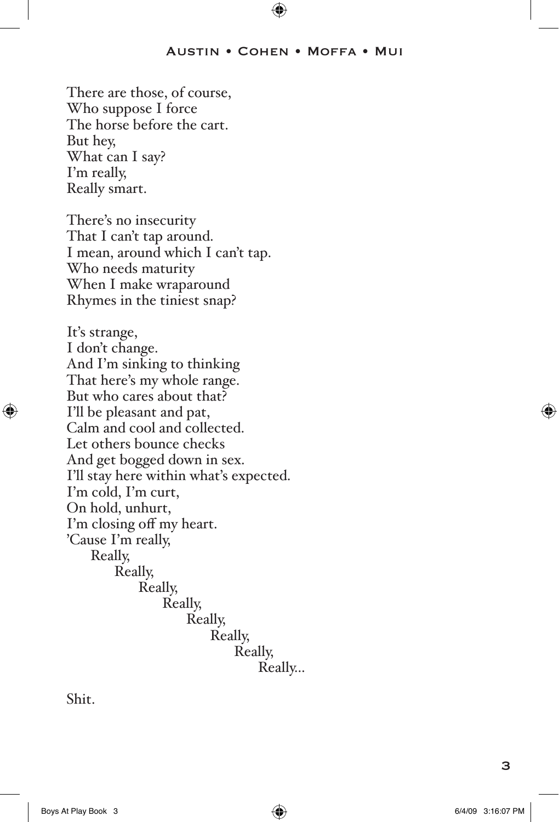#### Austin • Cohen • Moffa • Mui

⊕

There are those, of course, Who suppose I force The horse before the cart. But hey, What can I say? I'm really, Really smart.

There's no insecurity That I can't tap around. I mean, around which I can't tap. Who needs maturity When I make wraparound Rhymes in the tiniest snap?

It's strange, I don't change. And I'm sinking to thinking That here's my whole range. But who cares about that? I'll be pleasant and pat, Calm and cool and collected. Let others bounce checks And get bogged down in sex. I'll stay here within what's expected. I'm cold, I'm curt, On hold, unhurt, I'm closing off my heart. 'Cause I'm really, Really, Really, Really, Really, Really, Really, Really, Really…

Shit.

⊕

Boys At Play Book 3 6/4/09 3:16:07 PM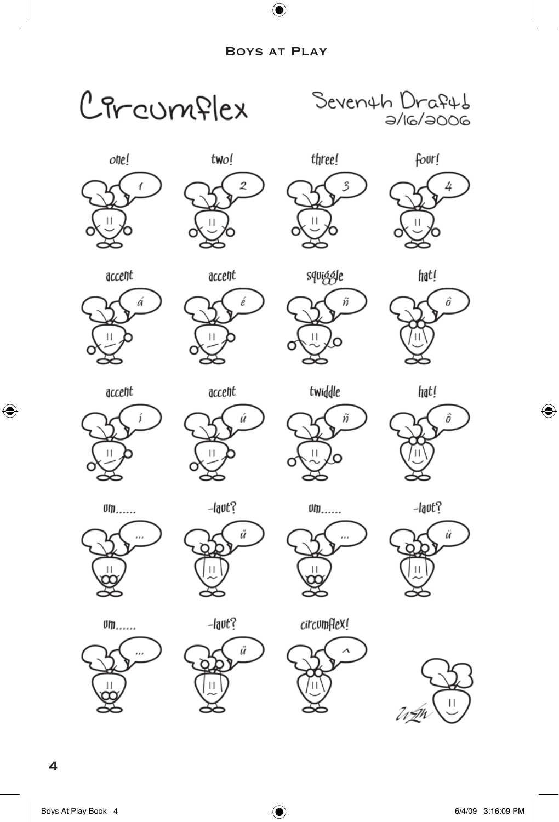$\bigoplus$ 



 $\bigoplus$ 

 $\bigoplus$